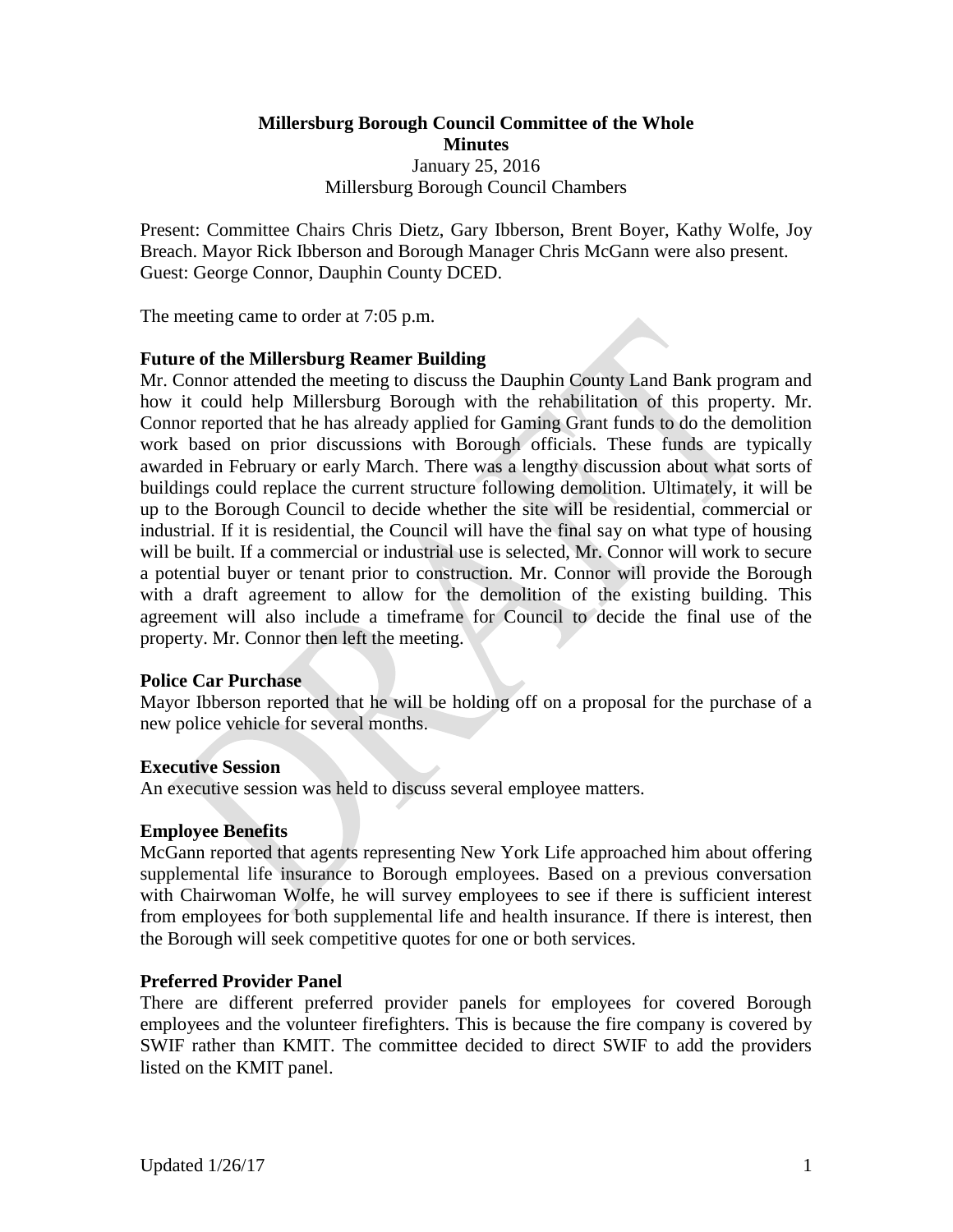# **Millersburg Borough Council Committee of the Whole Minutes** January 25, 2016 Millersburg Borough Council Chambers

Present: Committee Chairs Chris Dietz, Gary Ibberson, Brent Boyer, Kathy Wolfe, Joy Breach. Mayor Rick Ibberson and Borough Manager Chris McGann were also present. Guest: George Connor, Dauphin County DCED.

The meeting came to order at 7:05 p.m.

### **Future of the Millersburg Reamer Building**

Mr. Connor attended the meeting to discuss the Dauphin County Land Bank program and how it could help Millersburg Borough with the rehabilitation of this property. Mr. Connor reported that he has already applied for Gaming Grant funds to do the demolition work based on prior discussions with Borough officials. These funds are typically awarded in February or early March. There was a lengthy discussion about what sorts of buildings could replace the current structure following demolition. Ultimately, it will be up to the Borough Council to decide whether the site will be residential, commercial or industrial. If it is residential, the Council will have the final say on what type of housing will be built. If a commercial or industrial use is selected, Mr. Connor will work to secure a potential buyer or tenant prior to construction. Mr. Connor will provide the Borough with a draft agreement to allow for the demolition of the existing building. This agreement will also include a timeframe for Council to decide the final use of the property. Mr. Connor then left the meeting.

### **Police Car Purchase**

Mayor Ibberson reported that he will be holding off on a proposal for the purchase of a new police vehicle for several months.

### **Executive Session**

An executive session was held to discuss several employee matters.

### **Employee Benefits**

McGann reported that agents representing New York Life approached him about offering supplemental life insurance to Borough employees. Based on a previous conversation with Chairwoman Wolfe, he will survey employees to see if there is sufficient interest from employees for both supplemental life and health insurance. If there is interest, then the Borough will seek competitive quotes for one or both services.

### **Preferred Provider Panel**

There are different preferred provider panels for employees for covered Borough employees and the volunteer firefighters. This is because the fire company is covered by SWIF rather than KMIT. The committee decided to direct SWIF to add the providers listed on the KMIT panel.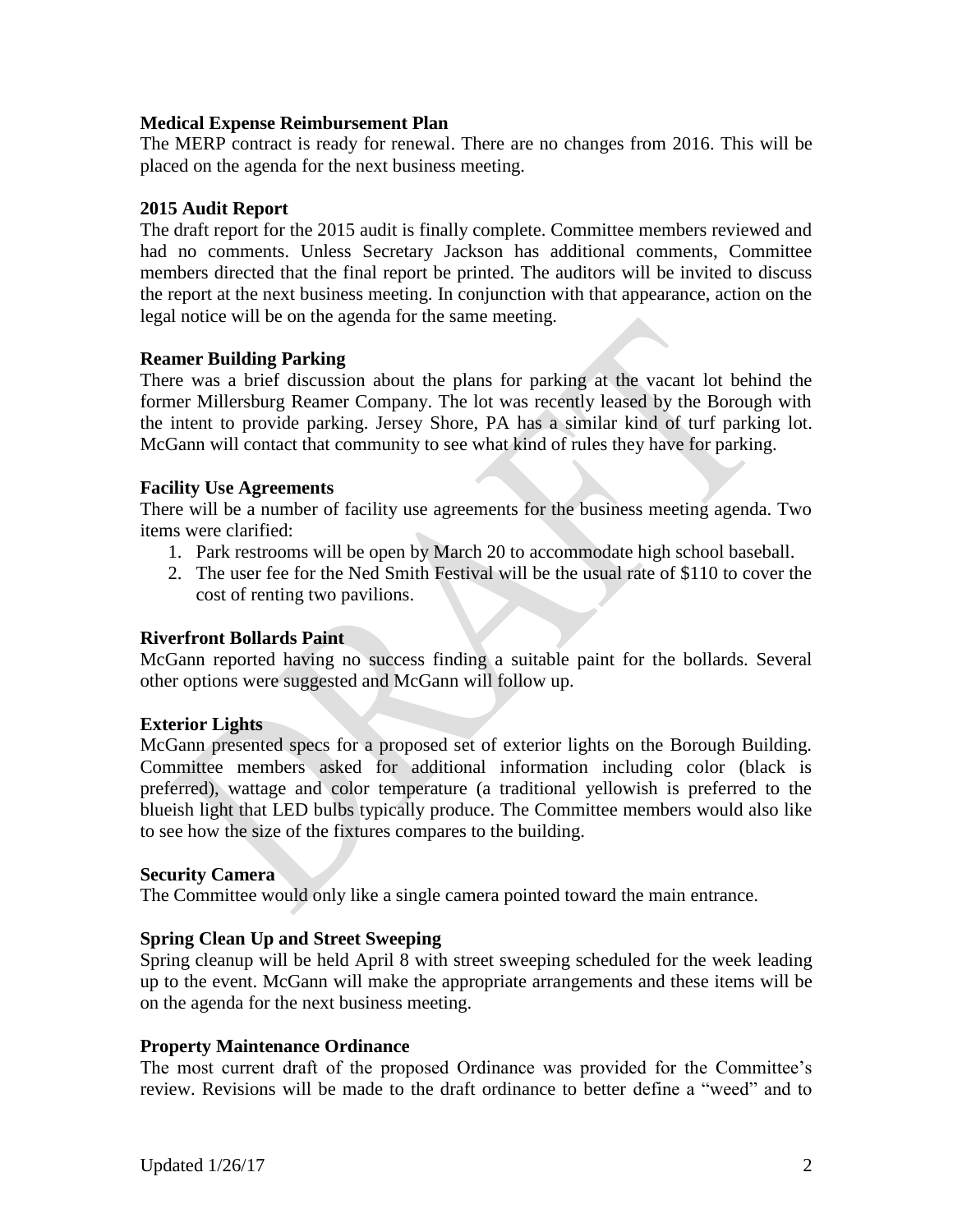### **Medical Expense Reimbursement Plan**

The MERP contract is ready for renewal. There are no changes from 2016. This will be placed on the agenda for the next business meeting.

# **2015 Audit Report**

The draft report for the 2015 audit is finally complete. Committee members reviewed and had no comments. Unless Secretary Jackson has additional comments, Committee members directed that the final report be printed. The auditors will be invited to discuss the report at the next business meeting. In conjunction with that appearance, action on the legal notice will be on the agenda for the same meeting.

### **Reamer Building Parking**

There was a brief discussion about the plans for parking at the vacant lot behind the former Millersburg Reamer Company. The lot was recently leased by the Borough with the intent to provide parking. Jersey Shore, PA has a similar kind of turf parking lot. McGann will contact that community to see what kind of rules they have for parking.

### **Facility Use Agreements**

There will be a number of facility use agreements for the business meeting agenda. Two items were clarified:

- 1. Park restrooms will be open by March 20 to accommodate high school baseball.
- 2. The user fee for the Ned Smith Festival will be the usual rate of \$110 to cover the cost of renting two pavilions.

### **Riverfront Bollards Paint**

McGann reported having no success finding a suitable paint for the bollards. Several other options were suggested and McGann will follow up.

### **Exterior Lights**

McGann presented specs for a proposed set of exterior lights on the Borough Building. Committee members asked for additional information including color (black is preferred), wattage and color temperature (a traditional yellowish is preferred to the blueish light that LED bulbs typically produce. The Committee members would also like to see how the size of the fixtures compares to the building.

### **Security Camera**

The Committee would only like a single camera pointed toward the main entrance.

### **Spring Clean Up and Street Sweeping**

Spring cleanup will be held April 8 with street sweeping scheduled for the week leading up to the event. McGann will make the appropriate arrangements and these items will be on the agenda for the next business meeting.

### **Property Maintenance Ordinance**

The most current draft of the proposed Ordinance was provided for the Committee's review. Revisions will be made to the draft ordinance to better define a "weed" and to